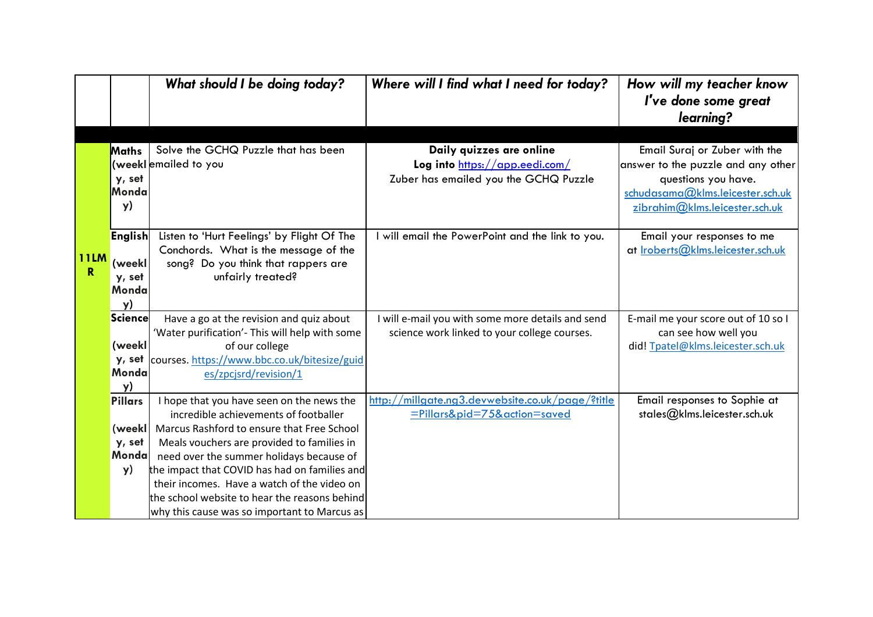|                  |                | What should I be doing today?                                                      | Where will I find what I need for today?                                         | How will my teacher know<br>I've done some great             |
|------------------|----------------|------------------------------------------------------------------------------------|----------------------------------------------------------------------------------|--------------------------------------------------------------|
|                  |                |                                                                                    |                                                                                  | learning?                                                    |
|                  |                |                                                                                    |                                                                                  |                                                              |
|                  | Maths          | Solve the GCHQ Puzzle that has been                                                | Daily quizzes are online                                                         | Email Suraj or Zuber with the                                |
|                  |                | (weeklemailed to you                                                               | Log into https://app.eedi.com/                                                   | answer to the puzzle and any other                           |
|                  | y, set         |                                                                                    | Zuber has emailed you the GCHQ Puzzle                                            | questions you have.                                          |
|                  | Monda          |                                                                                    |                                                                                  | schudasama@klms.leicester.sch.uk                             |
|                  | y)             |                                                                                    |                                                                                  | zibrahim@klms.leicester.sch.uk                               |
|                  | <b>English</b> | Listen to 'Hurt Feelings' by Flight Of The                                         | I will email the PowerPoint and the link to you.                                 | Email your responses to me                                   |
|                  |                | Conchords. What is the message of the                                              |                                                                                  | at Iroberts@klms.leicester.sch.uk                            |
| <b>11LM</b><br>R | (weekl         | song? Do you think that rappers are                                                |                                                                                  |                                                              |
|                  | y, set         | unfairly treated?                                                                  |                                                                                  |                                                              |
|                  | Monda          |                                                                                    |                                                                                  |                                                              |
|                  | y)<br>Science  | Have a go at the revision and quiz about                                           | I will e-mail you with some more details and send                                | E-mail me your score out of 10 so I                          |
|                  |                | 'Water purification'- This will help with some                                     | science work linked to your college courses.                                     | can see how well you                                         |
|                  | (weekl         | of our college                                                                     |                                                                                  | did! Tpatel@klms.leicester.sch.uk                            |
|                  | y, set         | courses. https://www.bbc.co.uk/bitesize/guid                                       |                                                                                  |                                                              |
|                  | Monda          | es/zpcjsrd/revision/1                                                              |                                                                                  |                                                              |
|                  | y)             |                                                                                    |                                                                                  |                                                              |
|                  | Pillars        | I hope that you have seen on the news the<br>incredible achievements of footballer | http://millgate.ng3.devwebsite.co.uk/page/?title<br>=Pillars&pid=75&action=saved | Email responses to Sophie at<br>stales@klms.leicester.sch.uk |
|                  | (weekl         | Marcus Rashford to ensure that Free School                                         |                                                                                  |                                                              |
|                  | y, set         | Meals vouchers are provided to families in                                         |                                                                                  |                                                              |
|                  | Monda          | need over the summer holidays because of                                           |                                                                                  |                                                              |
|                  | y)             | the impact that COVID has had on families and                                      |                                                                                  |                                                              |
|                  |                | their incomes. Have a watch of the video on                                        |                                                                                  |                                                              |
|                  |                | the school website to hear the reasons behind                                      |                                                                                  |                                                              |
|                  |                | why this cause was so important to Marcus as                                       |                                                                                  |                                                              |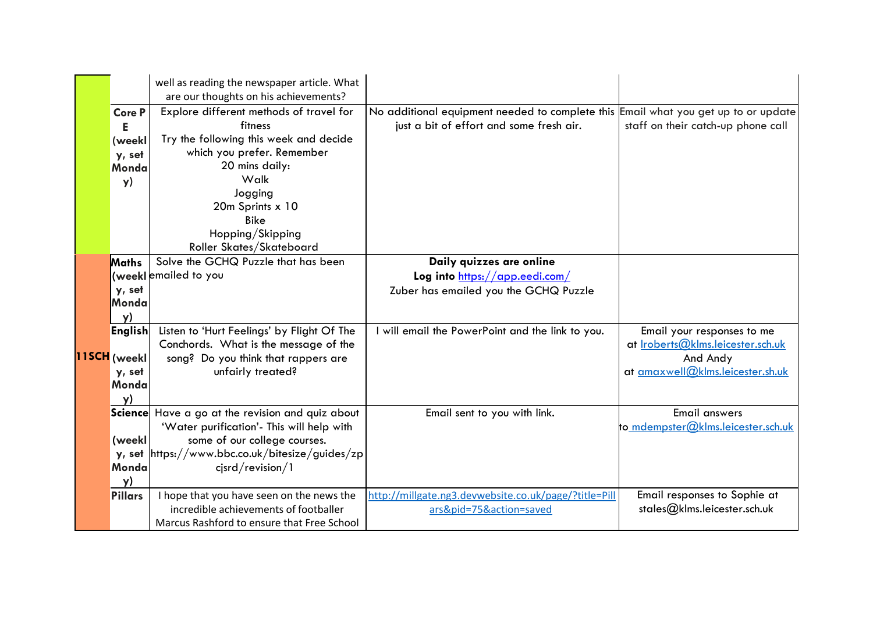|  |                                                         | well as reading the newspaper article. What<br>are our thoughts on his achievements?                                                                                                                                                               |                                                                                                                                |                                                                                                                        |
|--|---------------------------------------------------------|----------------------------------------------------------------------------------------------------------------------------------------------------------------------------------------------------------------------------------------------------|--------------------------------------------------------------------------------------------------------------------------------|------------------------------------------------------------------------------------------------------------------------|
|  | <b>Core P</b><br>Е<br>(weekl<br>y, set<br>Monda<br>y)   | Explore different methods of travel for<br>fitness<br>Try the following this week and decide<br>which you prefer. Remember<br>20 mins daily:<br>Walk<br>Jogging<br>20m Sprints x 10<br><b>Bike</b><br>Hopping/Skipping<br>Roller Skates/Skateboard | No additional equipment needed to complete this Email what you get up to or update<br>just a bit of effort and some fresh air. | staff on their catch-up phone call                                                                                     |
|  | Maths<br>y, set<br>Monda<br>y)                          | Solve the GCHQ Puzzle that has been<br>(weeklemailed to you                                                                                                                                                                                        | Daily quizzes are online<br>Log into https://app.eedi.com/<br>Zuber has emailed you the GCHQ Puzzle                            |                                                                                                                        |
|  | <b>English</b><br>11SCH (weekl<br>y, set<br>Monda<br>y) | Listen to 'Hurt Feelings' by Flight Of The<br>Conchords. What is the message of the<br>song? Do you think that rappers are<br>unfairly treated?                                                                                                    | I will email the PowerPoint and the link to you.                                                                               | Email your responses to me<br>at <u>Iroberts@klms.leicester.sch.uk</u><br>And Andy<br>at amaxwell@klms.leicester.sh.uk |
|  | (weekl<br>y, set<br>Monda<br>y)                         | Science Have a go at the revision and quiz about<br>'Water purification'- This will help with<br>some of our college courses.<br>https://www.bbc.co.uk/bitesize/guides/zp<br>$c$ jsrd/revision/1                                                   | Email sent to you with link.                                                                                                   | <b>Email answers</b><br>to mdempster@klms.leicester.sch.uk                                                             |
|  | <b>Pillars</b>                                          | I hope that you have seen on the news the<br>incredible achievements of footballer<br>Marcus Rashford to ensure that Free School                                                                                                                   | http://millgate.ng3.devwebsite.co.uk/page/?title=Pill<br>ars&pid=75&action=saved                                               | Email responses to Sophie at<br>stales@klms.leicester.sch.uk                                                           |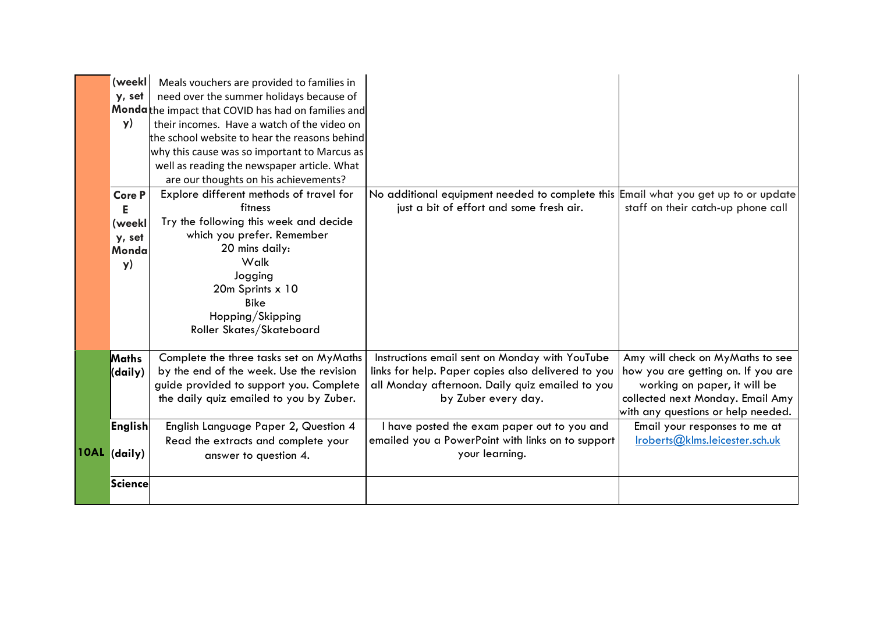| (weekl<br>y, set<br><b>y</b> )       | Meals vouchers are provided to families in<br>need over the summer holidays because of<br>Mondathe impact that COVID has had on families and<br>their incomes. Have a watch of the video on<br>the school website to hear the reasons behind<br>why this cause was so important to Marcus as<br>well as reading the newspaper article. What |                                                                                                                                                                                |                                                                                                                                                                                  |
|--------------------------------------|---------------------------------------------------------------------------------------------------------------------------------------------------------------------------------------------------------------------------------------------------------------------------------------------------------------------------------------------|--------------------------------------------------------------------------------------------------------------------------------------------------------------------------------|----------------------------------------------------------------------------------------------------------------------------------------------------------------------------------|
| <b>Core P</b>                        | are our thoughts on his achievements?<br>Explore different methods of travel for                                                                                                                                                                                                                                                            | No additional equipment needed to complete this Email what you get up to or update                                                                                             |                                                                                                                                                                                  |
| Е<br>(weekl<br>y, set<br>Monda<br>y) | fitness<br>Try the following this week and decide<br>which you prefer. Remember<br>20 mins daily:<br>Walk<br>Jogging<br>20m Sprints x 10<br><b>Bike</b><br>Hopping/Skipping<br>Roller Skates/Skateboard                                                                                                                                     | just a bit of effort and some fresh air.                                                                                                                                       | staff on their catch-up phone call                                                                                                                                               |
| <b>Maths</b><br>(daily)              | Complete the three tasks set on MyMaths<br>by the end of the week. Use the revision<br>guide provided to support you. Complete<br>the daily quiz emailed to you by Zuber.                                                                                                                                                                   | Instructions email sent on Monday with YouTube<br>links for help. Paper copies also delivered to you<br>all Monday afternoon. Daily quiz emailed to you<br>by Zuber every day. | Amy will check on MyMaths to see<br>how you are getting on. If you are<br>working on paper, it will be<br>collected next Monday. Email Amy<br>with any questions or help needed. |
| <b>English</b><br>10AL (daily)       | English Language Paper 2, Question 4<br>Read the extracts and complete your<br>answer to question 4.                                                                                                                                                                                                                                        | I have posted the exam paper out to you and<br>emailed you a PowerPoint with links on to support<br>your learning.                                                             | Email your responses to me at<br>lroberts@klms.eicester.sch.uk                                                                                                                   |
| Science                              |                                                                                                                                                                                                                                                                                                                                             |                                                                                                                                                                                |                                                                                                                                                                                  |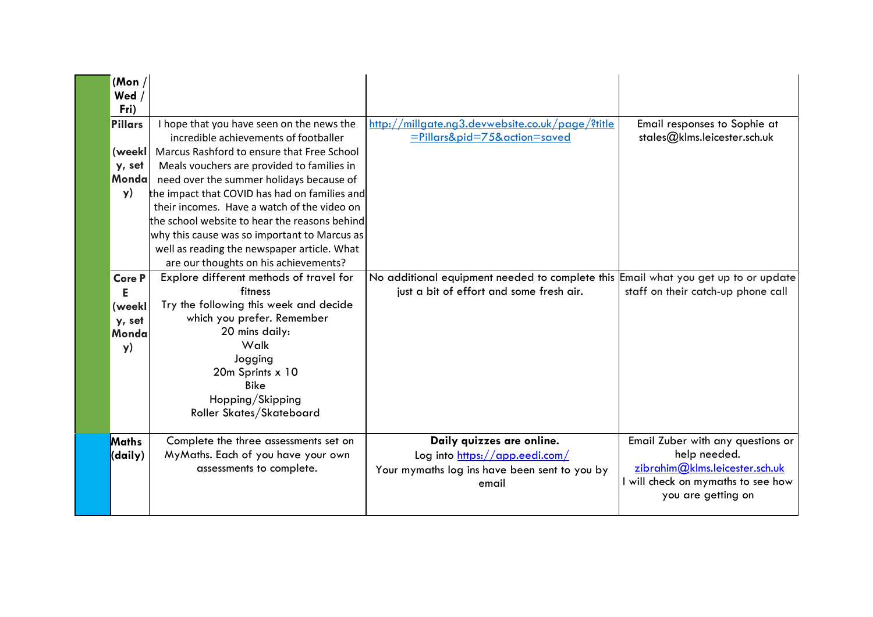| (Mon $/$<br>Wed /<br>Fri)                             |                                                                                                                                                                                                                                                                             |                                                                                                                                |                                                                                                                                                 |
|-------------------------------------------------------|-----------------------------------------------------------------------------------------------------------------------------------------------------------------------------------------------------------------------------------------------------------------------------|--------------------------------------------------------------------------------------------------------------------------------|-------------------------------------------------------------------------------------------------------------------------------------------------|
| <b>Pillars</b><br>(weekl)<br>y, set<br>Mondal<br>y)   | I hope that you have seen on the news the<br>incredible achievements of footballer<br>Marcus Rashford to ensure that Free School<br>Meals vouchers are provided to families in<br>need over the summer holidays because of<br>the impact that COVID has had on families and | http://millgate.ng3.devwebsite.co.uk/page/?title<br>=Pillars&pid=75&action=saved                                               | Email responses to Sophie at<br>stales@klms.leicester.sch.uk                                                                                    |
|                                                       | their incomes. Have a watch of the video on<br>the school website to hear the reasons behind<br>why this cause was so important to Marcus as<br>well as reading the newspaper article. What<br>are our thoughts on his achievements?                                        |                                                                                                                                |                                                                                                                                                 |
| <b>Core P</b><br>Е<br>(weekl<br>y, set<br>Monda<br>y) | Explore different methods of travel for<br>fitness<br>Try the following this week and decide<br>which you prefer. Remember<br>20 mins daily:<br>Walk<br>Jogging<br>20m Sprints x 10<br><b>Bike</b><br>Hopping/Skipping<br>Roller Skates/Skateboard                          | No additional equipment needed to complete this Email what you get up to or update<br>just a bit of effort and some fresh air. | staff on their catch-up phone call                                                                                                              |
| Maths<br>(daily)                                      | Complete the three assessments set on<br>MyMaths. Each of you have your own<br>assessments to complete.                                                                                                                                                                     | Daily quizzes are online.<br>Log into https://app.eedi.com/<br>Your mymaths log ins have been sent to you by<br>email          | Email Zuber with any questions or<br>help needed.<br>zibrahim@klms.leicester.sch.uk<br>I will check on mymaths to see how<br>you are getting on |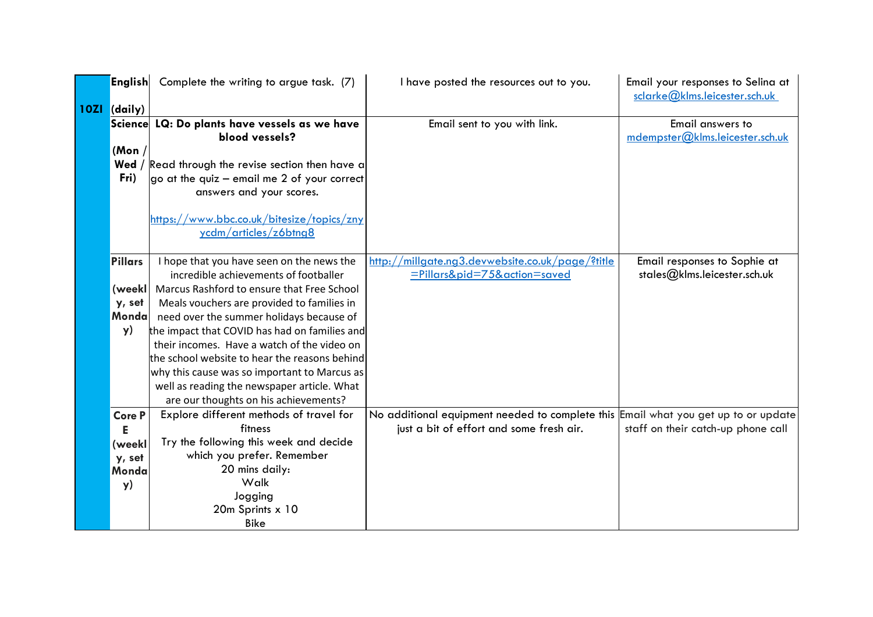| <b>English</b> | Complete the writing to argue task. (7)       | I have posted the resources out to you.                                            | Email your responses to Selina at<br>sclarke@klms.leicester.sch.uk |
|----------------|-----------------------------------------------|------------------------------------------------------------------------------------|--------------------------------------------------------------------|
| 10ZI (daily)   |                                               |                                                                                    |                                                                    |
| Science        | LQ: Do plants have vessels as we have         | Email sent to you with link.                                                       | Email answers to                                                   |
|                | blood vessels?                                |                                                                                    | mdempster@klms.leicester.sch.uk                                    |
| (Mon $/$       |                                               |                                                                                    |                                                                    |
| Wed /          | Read through the revise section then have a   |                                                                                    |                                                                    |
| Fri)           | go at the quiz $-$ email me 2 of your correct |                                                                                    |                                                                    |
|                | answers and your scores.                      |                                                                                    |                                                                    |
|                |                                               |                                                                                    |                                                                    |
|                | https://www.bbc.co.uk/bitesize/topics/zny     |                                                                                    |                                                                    |
|                | ycdm/articles/z6btng8                         |                                                                                    |                                                                    |
|                |                                               |                                                                                    |                                                                    |
| <b>Pillars</b> | I hope that you have seen on the news the     | http://millgate.ng3.devwebsite.co.uk/page/?title                                   | Email responses to Sophie at                                       |
|                | incredible achievements of footballer         | =Pillars&pid=75&action=saved                                                       | stales@klms.leicester.sch.uk                                       |
| (weekll        | Marcus Rashford to ensure that Free School    |                                                                                    |                                                                    |
| y, set         | Meals vouchers are provided to families in    |                                                                                    |                                                                    |
| Monda          | need over the summer holidays because of      |                                                                                    |                                                                    |
| y)             | the impact that COVID has had on families and |                                                                                    |                                                                    |
|                | their incomes. Have a watch of the video on   |                                                                                    |                                                                    |
|                | the school website to hear the reasons behind |                                                                                    |                                                                    |
|                | why this cause was so important to Marcus as  |                                                                                    |                                                                    |
|                | well as reading the newspaper article. What   |                                                                                    |                                                                    |
|                | are our thoughts on his achievements?         |                                                                                    |                                                                    |
| <b>Core P</b>  | Explore different methods of travel for       | No additional equipment needed to complete this Email what you get up to or update |                                                                    |
| Е              | fitness                                       | just a bit of effort and some fresh air.                                           | staff on their catch-up phone call                                 |
| (weekl         | Try the following this week and decide        |                                                                                    |                                                                    |
| y, set         | which you prefer. Remember                    |                                                                                    |                                                                    |
| Monda          | 20 mins daily:                                |                                                                                    |                                                                    |
| y)             | Walk                                          |                                                                                    |                                                                    |
|                | Jogging                                       |                                                                                    |                                                                    |
|                | 20m Sprints x 10                              |                                                                                    |                                                                    |
|                | <b>Bike</b>                                   |                                                                                    |                                                                    |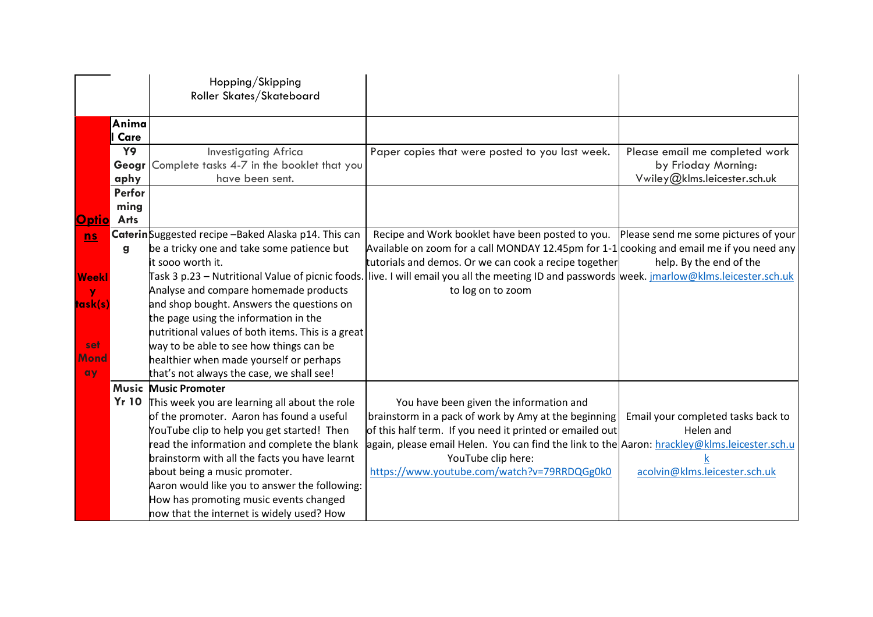|                   |               | Hopping/Skipping<br>Roller Skates/Skateboard        |                                                                                                                                                     |                                    |
|-------------------|---------------|-----------------------------------------------------|-----------------------------------------------------------------------------------------------------------------------------------------------------|------------------------------------|
|                   | Anima         |                                                     |                                                                                                                                                     |                                    |
|                   | Care          |                                                     |                                                                                                                                                     |                                    |
|                   | Y9            | <b>Investigating Africa</b>                         | Paper copies that were posted to you last week.                                                                                                     | Please email me completed work     |
|                   | Geogr         | Complete tasks 4-7 in the booklet that you          |                                                                                                                                                     | by Frioday Morning:                |
|                   | aphy          | have been sent.                                     |                                                                                                                                                     | Vwiley@klms.leicester.sch.uk       |
|                   | <b>Perfor</b> |                                                     |                                                                                                                                                     |                                    |
|                   | ming          |                                                     |                                                                                                                                                     |                                    |
| <b>Optio</b> Arts |               |                                                     |                                                                                                                                                     |                                    |
| n s               |               | CaterinSuggested recipe -Baked Alaska p14. This can | Recipe and Work booklet have been posted to you. Please send me some pictures of your                                                               |                                    |
|                   | g             | be a tricky one and take some patience but          | Available on zoom for a call MONDAY 12.45pm for 1-1 cooking and email me if you need any                                                            |                                    |
|                   |               | it sooo worth it.                                   | tutorials and demos. Or we can cook a recipe together                                                                                               | help. By the end of the            |
| Weekl             |               |                                                     | Task 3 p.23 – Nutritional Value of picnic foods. live. I will email you all the meeting ID and passwords week. <u>imarlow@klms.leicester.sch.uk</u> |                                    |
| v                 |               | Analyse and compare homemade products               | to log on to zoom                                                                                                                                   |                                    |
| task(s)           |               | and shop bought. Answers the questions on           |                                                                                                                                                     |                                    |
|                   |               | the page using the information in the               |                                                                                                                                                     |                                    |
|                   |               | nutritional values of both items. This is a great   |                                                                                                                                                     |                                    |
| set               |               | way to be able to see how things can be             |                                                                                                                                                     |                                    |
| Mond              |               | healthier when made yourself or perhaps             |                                                                                                                                                     |                                    |
| ay                |               | that's not always the case, we shall see!           |                                                                                                                                                     |                                    |
|                   |               | <b>Music Music Promoter</b>                         |                                                                                                                                                     |                                    |
|                   | <b>Yr 10</b>  | This week you are learning all about the role       | You have been given the information and                                                                                                             |                                    |
|                   |               | of the promoter. Aaron has found a useful           | brainstorm in a pack of work by Amy at the beginning                                                                                                | Email your completed tasks back to |
|                   |               | YouTube clip to help you get started! Then          | of this half term. If you need it printed or emailed out                                                                                            | Helen and                          |
|                   |               | read the information and complete the blank         | again, please email Helen. You can find the link to the Aaron: hrackley@klms.leicester.sch.u                                                        |                                    |
|                   |               | brainstorm with all the facts you have learnt       | YouTube clip here:                                                                                                                                  |                                    |
|                   |               | about being a music promoter.                       | https://www.youtube.com/watch?v=79RRDQGg0k0                                                                                                         | acolvin@klms.leicester.sch.uk      |
|                   |               | Aaron would like you to answer the following:       |                                                                                                                                                     |                                    |
|                   |               | How has promoting music events changed              |                                                                                                                                                     |                                    |
|                   |               | now that the internet is widely used? How           |                                                                                                                                                     |                                    |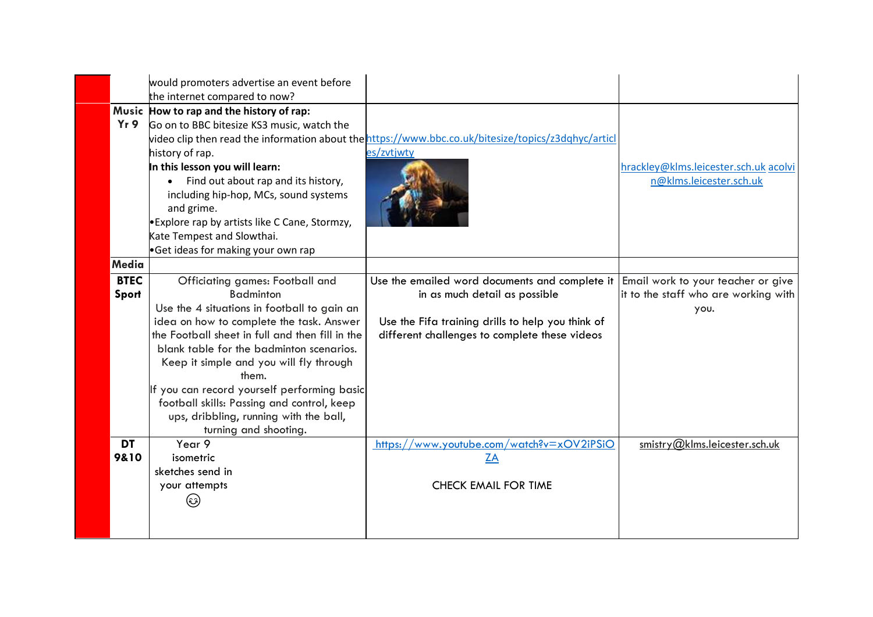| would promoters advertise an event before<br>the internet compared to now?                                                                                                                                                                                                                                                                                                                                                                                                                |                                                                                                                                                                                         |                                                                                    |
|-------------------------------------------------------------------------------------------------------------------------------------------------------------------------------------------------------------------------------------------------------------------------------------------------------------------------------------------------------------------------------------------------------------------------------------------------------------------------------------------|-----------------------------------------------------------------------------------------------------------------------------------------------------------------------------------------|------------------------------------------------------------------------------------|
| Music How to rap and the history of rap:<br>Yr9<br>Go on to BBC bitesize KS3 music, watch the<br>history of rap.<br>In this lesson you will learn:<br>Find out about rap and its history,<br>including hip-hop, MCs, sound systems<br>and grime.<br><b>Explore rap by artists like C Cane, Stormzy,</b><br>Kate Tempest and Slowthai.<br>Get ideas for making your own rap                                                                                                                | video clip then read the information about the https://www.bbc.co.uk/bitesize/topics/z3dghyc/articl<br>es/zvtjwty                                                                       | hrackley@klms.leicester.sch.uk acolvi<br>n@klms.leicester.sch.uk                   |
| Media                                                                                                                                                                                                                                                                                                                                                                                                                                                                                     |                                                                                                                                                                                         |                                                                                    |
| <b>BTEC</b><br>Officiating games: Football and<br><b>Badminton</b><br>Sport<br>Use the 4 situations in football to gain an<br>idea on how to complete the task. Answer<br>the Football sheet in full and then fill in the<br>blank table for the badminton scenarios.<br>Keep it simple and you will fly through<br>them.<br>If you can record yourself performing basic<br>football skills: Passing and control, keep<br>ups, dribbling, running with the ball,<br>turning and shooting. | Use the emailed word documents and complete it  <br>in as much detail as possible<br>Use the Fifa training drills to help you think of<br>different challenges to complete these videos | Email work to your teacher or give<br>it to the staff who are working with<br>you. |
| <b>DT</b><br>Year 9<br>9810<br>isometric<br>sketches send in<br>your attempts<br>(છે)                                                                                                                                                                                                                                                                                                                                                                                                     | https://www.youtube.com/watch?v=xOV2iPSiO<br><b>ZA</b><br><b>CHECK EMAIL FOR TIME</b>                                                                                                   | smistry@klms.leicester.sch.uk                                                      |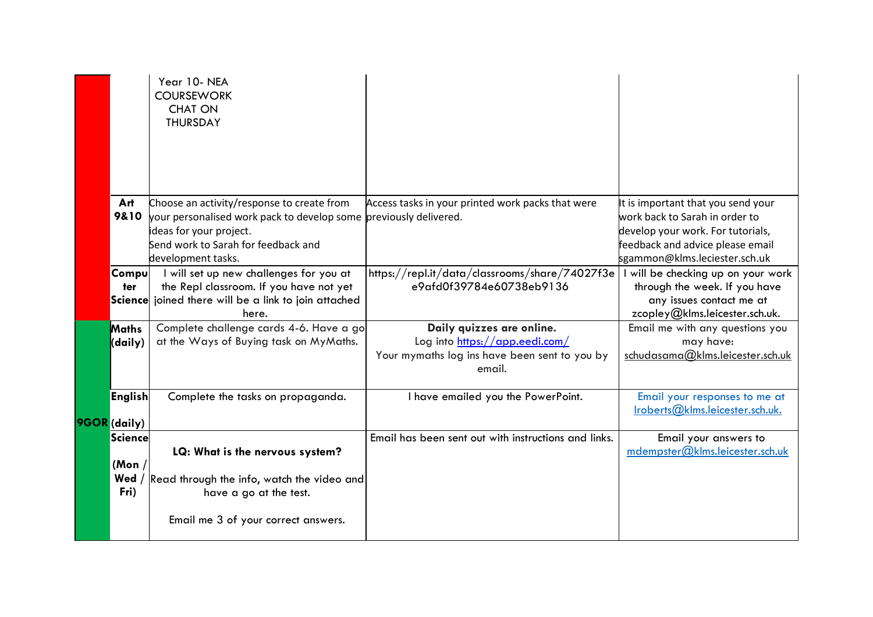|                                   | Year 10-NEA<br><b>COURSEWORK</b><br><b>CHAT ON</b><br><b>THURSDAY</b>                                                                                                                                   |                                                                                                                        |                                                                                                                                                                                |
|-----------------------------------|---------------------------------------------------------------------------------------------------------------------------------------------------------------------------------------------------------|------------------------------------------------------------------------------------------------------------------------|--------------------------------------------------------------------------------------------------------------------------------------------------------------------------------|
| Art<br>9&10                       | Choose an activity/response to create from<br>your personalised work pack to develop some previously delivered.<br>ideas for your project.<br>Send work to Sarah for feedback and<br>development tasks. | Access tasks in your printed work packs that were                                                                      | It is important that you send your<br>work back to Sarah in order to<br>develop your work. For tutorials,<br>feedback and advice please email<br>sgammon@klms.leciester.sch.uk |
| <b>Compu</b><br>ter               | I will set up new challenges for you at<br>the Repl classroom. If you have not yet<br>Science joined there will be a link to join attached<br>here.                                                     | https://repl.it/data/classrooms/share/74027f3e<br>e9afd0f39784e60738eb9136                                             | I will be checking up on your work<br>through the week. If you have<br>any issues contact me at<br>zcopley@klms.leicester.sch.uk.                                              |
| <b>Maths</b><br>(daily)           | Complete challenge cards 4-6. Have a go<br>at the Ways of Buying task on MyMaths.                                                                                                                       | Daily quizzes are online.<br>Log into https://app.eedi.com/<br>Your mymaths log ins have been sent to you by<br>email. | Email me with any questions you<br>may have:<br>schudasama@klms.leicester.sch.uk                                                                                               |
| <b>English</b><br>9GOR (daily)    | Complete the tasks on propaganda.                                                                                                                                                                       | I have emailed you the PowerPoint.                                                                                     | Email your responses to me at<br>Iroberts@klms.leicester.sch.uk.                                                                                                               |
| Science<br>(Mon)<br>Wed /<br>Fri) | LQ: What is the nervous system?<br>Read through the info, watch the video and<br>have a go at the test.<br>Email me 3 of your correct answers.                                                          | Email has been sent out with instructions and links.                                                                   | Email your answers to<br>mdempster@klms.leicester.sch.uk                                                                                                                       |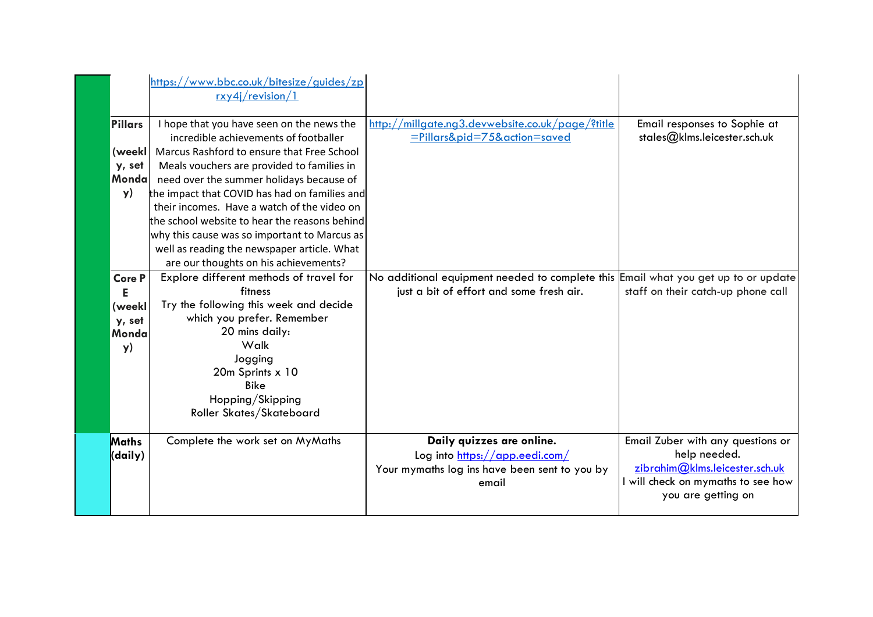|                                                       | https://www.bbc.co.uk/bitesize/guides/zp<br>rxy4j/revision/1                                                                                                                                                                                                                                                                                                                |                                                                                                                                |                                                                                                                                                 |
|-------------------------------------------------------|-----------------------------------------------------------------------------------------------------------------------------------------------------------------------------------------------------------------------------------------------------------------------------------------------------------------------------------------------------------------------------|--------------------------------------------------------------------------------------------------------------------------------|-------------------------------------------------------------------------------------------------------------------------------------------------|
| <b>Pillars</b><br>(weekl<br>y, set<br>Monda<br>y)     | I hope that you have seen on the news the<br>incredible achievements of footballer<br>Marcus Rashford to ensure that Free School<br>Meals vouchers are provided to families in<br>need over the summer holidays because of<br>the impact that COVID has had on families and<br>their incomes. Have a watch of the video on<br>the school website to hear the reasons behind | http://millgate.ng3.devwebsite.co.uk/page/?title<br>=Pillars&pid=75&action=saved                                               | Email responses to Sophie at<br>stales@klms.leicester.sch.uk                                                                                    |
|                                                       | why this cause was so important to Marcus as<br>well as reading the newspaper article. What<br>are our thoughts on his achievements?                                                                                                                                                                                                                                        |                                                                                                                                |                                                                                                                                                 |
| <b>Core P</b><br>Е<br>(weekl<br>y, set<br>Monda<br>y) | Explore different methods of travel for<br>fitness<br>Try the following this week and decide<br>which you prefer. Remember<br>20 mins daily:<br>Walk<br>Jogging<br>20m Sprints x 10<br><b>Bike</b><br>Hopping/Skipping<br>Roller Skates/Skateboard                                                                                                                          | No additional equipment needed to complete this Email what you get up to or update<br>just a bit of effort and some fresh air. | staff on their catch-up phone call                                                                                                              |
| <b>Maths</b><br>(daily)                               | Complete the work set on MyMaths                                                                                                                                                                                                                                                                                                                                            | Daily quizzes are online.<br>Log into https://app.eedi.com/<br>Your mymaths log ins have been sent to you by<br>email          | Email Zuber with any questions or<br>help needed.<br>zibrahim@klms.leicester.sch.uk<br>I will check on mymaths to see how<br>you are getting on |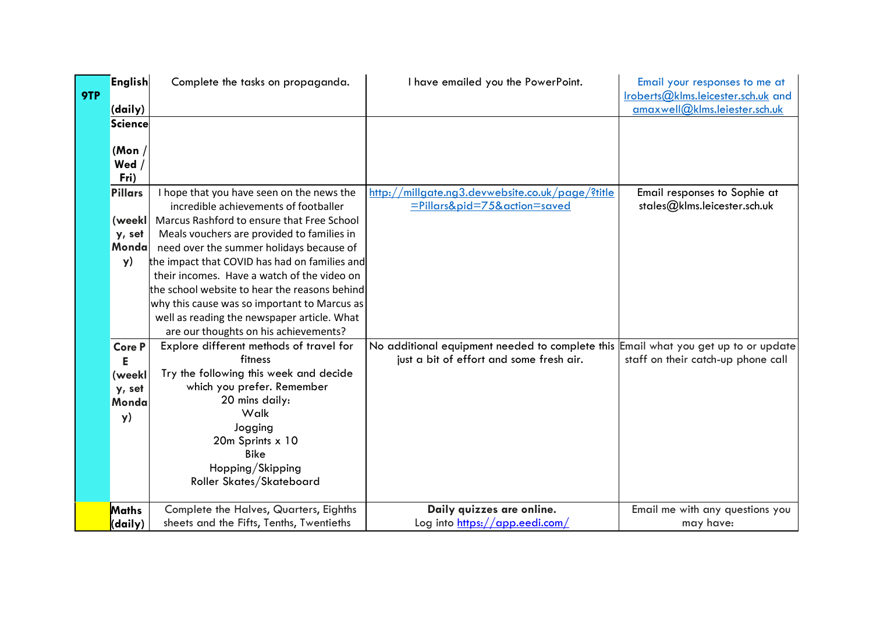| 9TP | <b>English</b>          | Complete the tasks on propaganda.                                                  | I have emailed you the PowerPoint.                                                 | Email your responses to me at<br>Iroberts@klms.leicester.sch.uk and |
|-----|-------------------------|------------------------------------------------------------------------------------|------------------------------------------------------------------------------------|---------------------------------------------------------------------|
|     | (daily)                 |                                                                                    |                                                                                    | amaxwell@klms.leiester.sch.uk                                       |
|     | <b>Science</b>          |                                                                                    |                                                                                    |                                                                     |
|     | (Mon $/$<br>Wed<br>Fri) |                                                                                    |                                                                                    |                                                                     |
|     | <b>Pillars</b>          | I hope that you have seen on the news the<br>incredible achievements of footballer | http://millgate.ng3.devwebsite.co.uk/page/?title<br>=Pillars&pid=75&action=saved   | Email responses to Sophie at<br>stales@klms.leicester.sch.uk        |
|     | (weekl                  | Marcus Rashford to ensure that Free School                                         |                                                                                    |                                                                     |
|     | y, set                  | Meals vouchers are provided to families in                                         |                                                                                    |                                                                     |
|     | Monda                   | need over the summer holidays because of                                           |                                                                                    |                                                                     |
|     | y)                      | the impact that COVID has had on families and                                      |                                                                                    |                                                                     |
|     |                         | their incomes. Have a watch of the video on                                        |                                                                                    |                                                                     |
|     |                         | the school website to hear the reasons behind                                      |                                                                                    |                                                                     |
|     |                         | why this cause was so important to Marcus as                                       |                                                                                    |                                                                     |
|     |                         | well as reading the newspaper article. What                                        |                                                                                    |                                                                     |
|     |                         | are our thoughts on his achievements?                                              |                                                                                    |                                                                     |
|     | <b>Core P</b>           | Explore different methods of travel for                                            | No additional equipment needed to complete this Email what you get up to or update |                                                                     |
|     |                         | fitness<br>Try the following this week and decide                                  | just a bit of effort and some fresh air.                                           | staff on their catch-up phone call                                  |
|     | (weekl<br>y, set        | which you prefer. Remember                                                         |                                                                                    |                                                                     |
|     | Monda                   | 20 mins daily:                                                                     |                                                                                    |                                                                     |
|     | y)                      | Walk                                                                               |                                                                                    |                                                                     |
|     |                         | Jogging                                                                            |                                                                                    |                                                                     |
|     |                         | 20m Sprints x 10                                                                   |                                                                                    |                                                                     |
|     |                         | <b>Bike</b>                                                                        |                                                                                    |                                                                     |
|     |                         | Hopping/Skipping                                                                   |                                                                                    |                                                                     |
|     |                         | Roller Skates/Skateboard                                                           |                                                                                    |                                                                     |
|     | Maths                   | Complete the Halves, Quarters, Eighths                                             | Daily quizzes are online.                                                          | Email me with any questions you                                     |
|     | (daily)                 | sheets and the Fifts, Tenths, Twentieths                                           | Log into https://app.eedi.com/                                                     | may have:                                                           |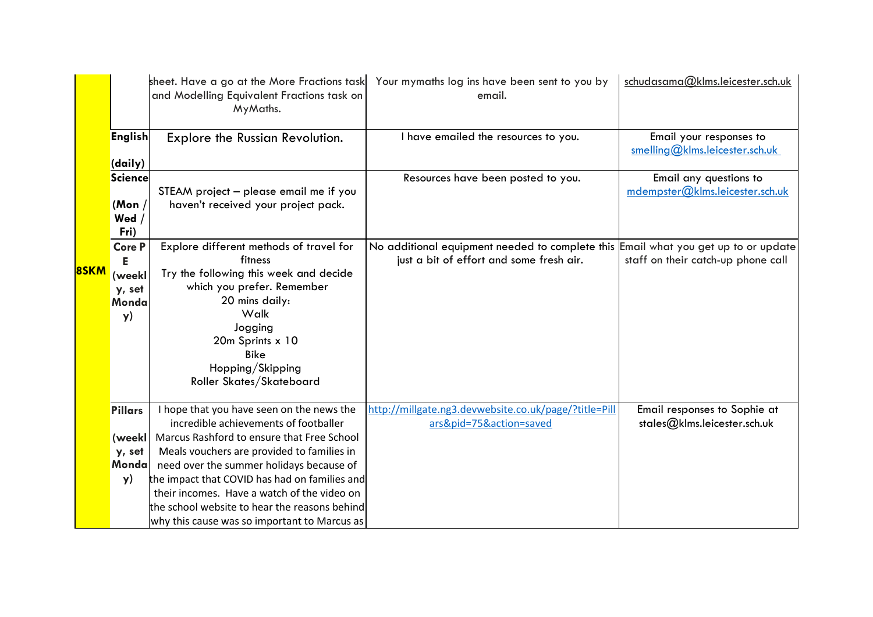| 8SKM |                                                       | sheet. Have a go at the More Fractions task<br>and Modelling Equivalent Fractions task on<br>MyMaths.                                                                                                                                                                                                                                                                                                                       | Your mymaths log ins have been sent to you by<br>email.                                                                        | schudasama@klms.leicester.sch.uk                             |
|------|-------------------------------------------------------|-----------------------------------------------------------------------------------------------------------------------------------------------------------------------------------------------------------------------------------------------------------------------------------------------------------------------------------------------------------------------------------------------------------------------------|--------------------------------------------------------------------------------------------------------------------------------|--------------------------------------------------------------|
|      | <b>English</b><br>(daily)                             | Explore the Russian Revolution.                                                                                                                                                                                                                                                                                                                                                                                             | I have emailed the resources to you.                                                                                           | Email your responses to<br>smelling@klms.leicester.sch.uk    |
|      | Science<br>(Mon $/$<br>Wed<br>Fri)                    | STEAM project – please email me if you<br>haven't received your project pack.                                                                                                                                                                                                                                                                                                                                               | Resources have been posted to you.                                                                                             | Email any questions to<br>mdempster@klms. leicester.sch.uk   |
|      | <b>Core P</b><br>Е<br>(weekl<br>y, set<br>Monda<br>y) | Explore different methods of travel for<br>fitness<br>Try the following this week and decide<br>which you prefer. Remember<br>20 mins daily:<br>Walk<br>Jogging<br>20m Sprints x 10<br><b>Bike</b><br>Hopping/Skipping<br>Roller Skates/Skateboard                                                                                                                                                                          | No additional equipment needed to complete this Email what you get up to or update<br>just a bit of effort and some fresh air. | staff on their catch-up phone call                           |
|      | <b>Pillars</b><br>(weekl<br>y, set<br>Mondal<br>y)    | I hope that you have seen on the news the<br>incredible achievements of footballer<br>Marcus Rashford to ensure that Free School<br>Meals vouchers are provided to families in<br>need over the summer holidays because of<br>the impact that COVID has had on families and<br>their incomes. Have a watch of the video on<br>the school website to hear the reasons behind<br>why this cause was so important to Marcus as | http://millgate.ng3.devwebsite.co.uk/page/?title=Pill<br>ars&pid=75&action=saved                                               | Email responses to Sophie at<br>stales@klms.leicester.sch.uk |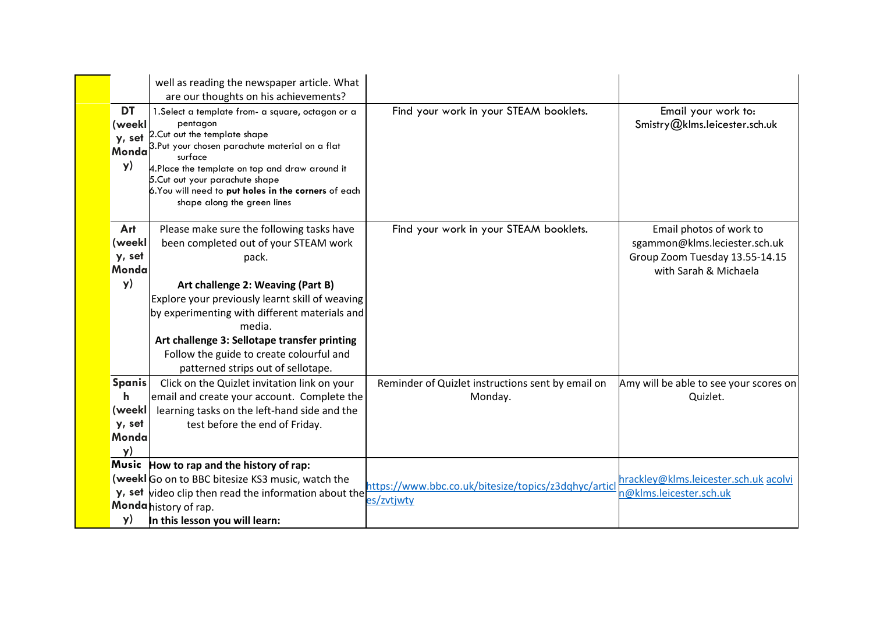|                                                       | well as reading the newspaper article. What<br>are our thoughts on his achievements?                                                                                                                                                                                                                                                                                             |                                                                    |                                                                                                                     |
|-------------------------------------------------------|----------------------------------------------------------------------------------------------------------------------------------------------------------------------------------------------------------------------------------------------------------------------------------------------------------------------------------------------------------------------------------|--------------------------------------------------------------------|---------------------------------------------------------------------------------------------------------------------|
| <b>DT</b><br>(weekl<br>y, set<br>Monda<br>y)          | 1. Select a template from- a square, octagon or a<br>pentagon<br>2. Cut out the template shape<br>3.Put your chosen parachute material on a flat<br>surface<br>4.Place the template on top and draw around it<br>5. Cut out your parachute shape<br>6. You will need to put holes in the corners of each<br>shape along the green lines                                          | Find your work in your STEAM booklets.                             | Email your work to:<br>Smistry@klms.leicester.sch.uk                                                                |
| Art<br>(weekl<br>y, set<br>Monda<br>y)                | Please make sure the following tasks have<br>been completed out of your STEAM work<br>pack.<br>Art challenge 2: Weaving (Part B)<br>Explore your previously learnt skill of weaving<br>by experimenting with different materials and<br>media.<br>Art challenge 3: Sellotape transfer printing<br>Follow the guide to create colourful and<br>patterned strips out of sellotape. | Find your work in your STEAM booklets.                             | Email photos of work to<br>sgammon@klms.leciester.sch.uk<br>Group Zoom Tuesday 13.55-14.15<br>with Sarah & Michaela |
| <b>Spanis</b><br>h<br>(weekl<br>y, set<br>Monda<br>y) | Click on the Quizlet invitation link on your<br>email and create your account. Complete the<br>learning tasks on the left-hand side and the<br>test before the end of Friday.                                                                                                                                                                                                    | Reminder of Quizlet instructions sent by email on<br>Monday.       | Amy will be able to see your scores on<br>Quizlet.                                                                  |
| Music<br>y)                                           | How to rap and the history of rap:<br>(weekl Go on to BBC bitesize KS3 music, watch the<br>y, set video clip then read the information about the<br>Monda history of rap.<br>In this lesson you will learn:                                                                                                                                                                      | https://www.bbc.co.uk/bitesize/topics/z3dqhyc/articl<br>es/zvtjwty | hrackley@klms.leicester.sch.uk acolvi<br>n@klms.leicester.sch.uk                                                    |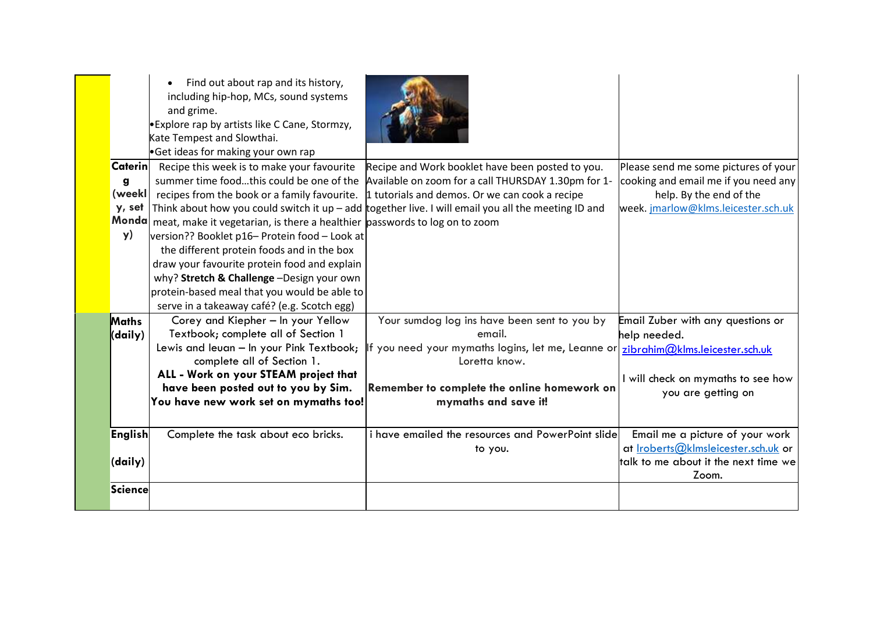|                                     | Find out about rap and its history,<br>including hip-hop, MCs, sound systems<br>and grime.<br><b>Explore rap by artists like C Cane, Stormzy,</b><br>Kate Tempest and Slowthai.<br>Get ideas for making your own rap                                                                                                                                                                                                      |                                                                                                                                                                                                                                                                                                                                                                             |                                                                                                                                                |
|-------------------------------------|---------------------------------------------------------------------------------------------------------------------------------------------------------------------------------------------------------------------------------------------------------------------------------------------------------------------------------------------------------------------------------------------------------------------------|-----------------------------------------------------------------------------------------------------------------------------------------------------------------------------------------------------------------------------------------------------------------------------------------------------------------------------------------------------------------------------|------------------------------------------------------------------------------------------------------------------------------------------------|
| <b>Caterin</b><br>g<br>(weekl<br>y) | Recipe this week is to make your favourite<br>Monda meat, make it vegetarian, is there a healthier passwords to log on to zoom<br>version?? Booklet p16- Protein food - Look at<br>the different protein foods and in the box<br>draw your favourite protein food and explain<br>why? Stretch & Challenge -Design your own<br>protein-based meal that you would be able to<br>serve in a takeaway café? (e.g. Scotch egg) | Recipe and Work booklet have been posted to you.<br>summer time foodthis could be one of the Available on zoom for a call THURSDAY 1.30pm for 1-<br>recipes from the book or a family favourite. $\frac{1}{2}$ tutorials and demos. Or we can cook a recipe<br>y, set   Think about how you could switch it up – add together live. I will email you all the meeting ID and | Please send me some pictures of your<br>cooking and email me if you need any<br>help. By the end of the<br>week. jmarlow@klms.leicester.sch.uk |
| <b>Maths</b><br>(daily)             | Corey and Kiepher - In your Yellow<br>Textbook; complete all of Section 1<br>Lewis and leuan - In your Pink Textbook;<br>complete all of Section 1.<br>ALL - Work on your STEAM project that<br>have been posted out to you by Sim.<br>You have new work set on mymaths too!                                                                                                                                              | Your sumdog log ins have been sent to you by<br>email.<br>If you need your mymaths logins, let me, Leanne or zibrahim@klms.leicester.sch.uk<br>Loretta know.<br>Remember to complete the online homework on<br>mymaths and save it!                                                                                                                                         | Email Zuber with any questions or<br>help needed.<br>I will check on mymaths to see how<br>you are getting on                                  |
| <b>English</b><br>(daily)           | Complete the task about eco bricks.                                                                                                                                                                                                                                                                                                                                                                                       | i have emailed the resources and PowerPoint slide<br>to you.                                                                                                                                                                                                                                                                                                                | Email me a picture of your work<br>at <i>Iroberts@klmsleicester.sch.uk</i> or<br>talk to me about it the next time we<br>Zoom.                 |
| <b>Science</b>                      |                                                                                                                                                                                                                                                                                                                                                                                                                           |                                                                                                                                                                                                                                                                                                                                                                             |                                                                                                                                                |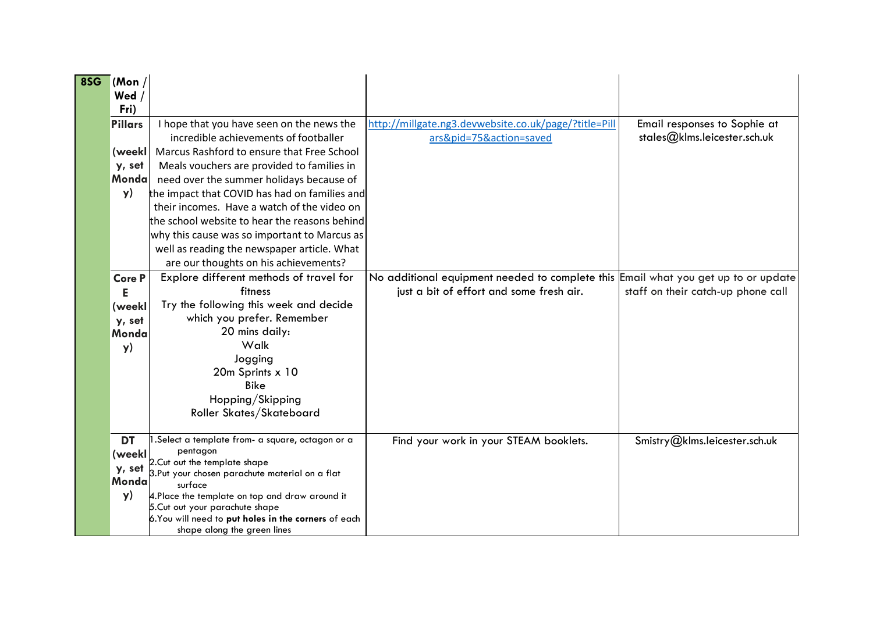| 8SG | (Mon)<br>Wed<br>Fri)                                         |                                                                                                                                                                                                                                                                                                                                                                             |                                                                                                                                |                                                              |
|-----|--------------------------------------------------------------|-----------------------------------------------------------------------------------------------------------------------------------------------------------------------------------------------------------------------------------------------------------------------------------------------------------------------------------------------------------------------------|--------------------------------------------------------------------------------------------------------------------------------|--------------------------------------------------------------|
|     | <b>Pillars</b><br>(weekl<br>y, set<br>Mondal<br>y)           | I hope that you have seen on the news the<br>incredible achievements of footballer<br>Marcus Rashford to ensure that Free School<br>Meals vouchers are provided to families in<br>need over the summer holidays because of<br>the impact that COVID has had on families and<br>their incomes. Have a watch of the video on<br>the school website to hear the reasons behind | http://millgate.ng3.devwebsite.co.uk/page/?title=Pill<br>ars&pid=75&action=saved                                               | Email responses to Sophie at<br>stales@klms.leicester.sch.uk |
|     |                                                              | why this cause was so important to Marcus as<br>well as reading the newspaper article. What<br>are our thoughts on his achievements?                                                                                                                                                                                                                                        |                                                                                                                                |                                                              |
|     | <b>Core P</b><br>Е<br>(weekl<br>y, set<br><b>Monda</b><br>y) | Explore different methods of travel for<br>fitness<br>Try the following this week and decide<br>which you prefer. Remember<br>20 mins daily:<br>Walk<br>Jogging<br>20m Sprints x 10<br><b>Bike</b><br>Hopping/Skipping<br>Roller Skates/Skateboard                                                                                                                          | No additional equipment needed to complete this Email what you get up to or update<br>just a bit of effort and some fresh air. | staff on their catch-up phone call                           |
|     | <b>DT</b><br>(weekl<br>y, set<br>Monda<br>y)                 | 1.Select a template from- a square, octagon or a<br>pentagon<br>2. Cut out the template shape<br>3.Put your chosen parachute material on a flat<br>surface<br>4. Place the template on top and draw around it<br>5. Cut out your parachute shape<br>6. You will need to put holes in the corners of each<br>shape along the green lines                                     | Find your work in your STEAM booklets.                                                                                         | Smistry@klms.leicester.sch.uk                                |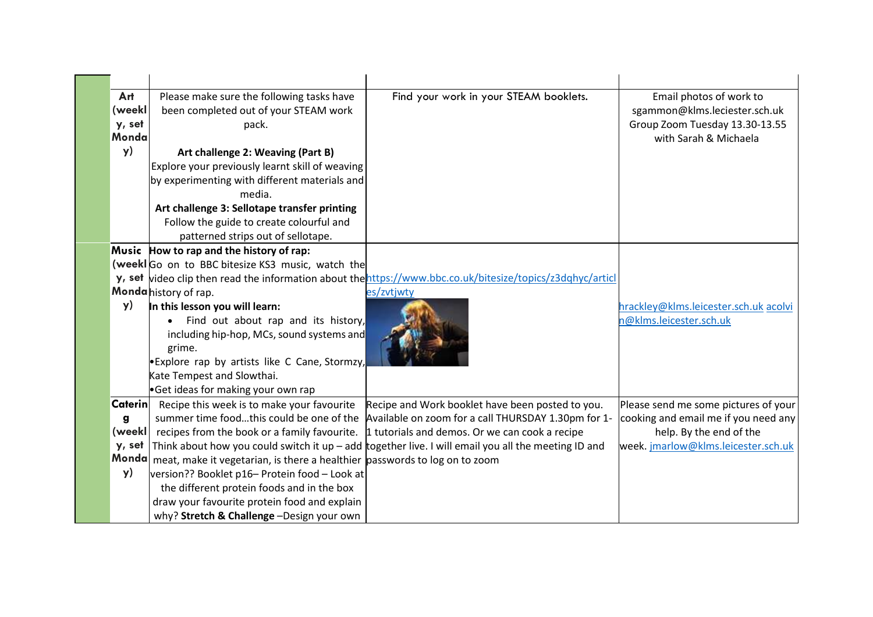| Art            | Please make sure the following tasks have                                        | Find your work in your STEAM booklets.                                                                     | Email photos of work to               |
|----------------|----------------------------------------------------------------------------------|------------------------------------------------------------------------------------------------------------|---------------------------------------|
| (weekl         | been completed out of your STEAM work                                            |                                                                                                            | sgammon@klms.leciester.sch.uk         |
| y, set         | pack.                                                                            |                                                                                                            | Group Zoom Tuesday 13.30-13.55        |
| Monda          |                                                                                  |                                                                                                            | with Sarah & Michaela                 |
| y)             | Art challenge 2: Weaving (Part B)                                                |                                                                                                            |                                       |
|                | Explore your previously learnt skill of weaving                                  |                                                                                                            |                                       |
|                | by experimenting with different materials and                                    |                                                                                                            |                                       |
|                | media.                                                                           |                                                                                                            |                                       |
|                | Art challenge 3: Sellotape transfer printing                                     |                                                                                                            |                                       |
|                | Follow the guide to create colourful and                                         |                                                                                                            |                                       |
|                | patterned strips out of sellotape.                                               |                                                                                                            |                                       |
|                | Music How to rap and the history of rap:                                         |                                                                                                            |                                       |
|                | (weekl Go on to BBC bitesize KS3 music, watch the                                |                                                                                                            |                                       |
|                |                                                                                  | y, set video clip then read the information about the https://www.bbc.co.uk/bitesize/topics/z3dqhyc/articl |                                       |
|                | Monda history of rap.                                                            | es/zvtjwty                                                                                                 |                                       |
| y)             | In this lesson you will learn:                                                   |                                                                                                            | hrackley@klms.leicester.sch.uk acolvi |
|                | Find out about rap and its history,                                              |                                                                                                            | n@klms.leicester.sch.uk               |
|                | including hip-hop, MCs, sound systems and                                        |                                                                                                            |                                       |
|                | grime.                                                                           |                                                                                                            |                                       |
|                | Explore rap by artists like C Cane, Stormzy,                                     |                                                                                                            |                                       |
|                | Kate Tempest and Slowthai.                                                       |                                                                                                            |                                       |
|                | Get ideas for making your own rap                                                |                                                                                                            |                                       |
| <b>Caterin</b> | Recipe this week is to make your favourite                                       | Recipe and Work booklet have been posted to you.                                                           | Please send me some pictures of your  |
| g              |                                                                                  | summer time foodthis could be one of the Available on zoom for a call THURSDAY 1.30pm for 1-               | cooking and email me if you need any  |
| (weekl         |                                                                                  | recipes from the book or a family favourite. $\vert$ 1 tutorials and demos. Or we can cook a recipe        | help. By the end of the               |
| y, set         |                                                                                  | Think about how you could switch it up $-$ add together live. I will email you all the meeting ID and      | week. jmarlow@klms.leicester.sch.uk   |
|                | Monda meat, make it vegetarian, is there a healthier passwords to log on to zoom |                                                                                                            |                                       |
| y)             | version?? Booklet p16- Protein food - Look at                                    |                                                                                                            |                                       |
|                | the different protein foods and in the box                                       |                                                                                                            |                                       |
|                | draw your favourite protein food and explain                                     |                                                                                                            |                                       |
|                | why? Stretch & Challenge -Design your own                                        |                                                                                                            |                                       |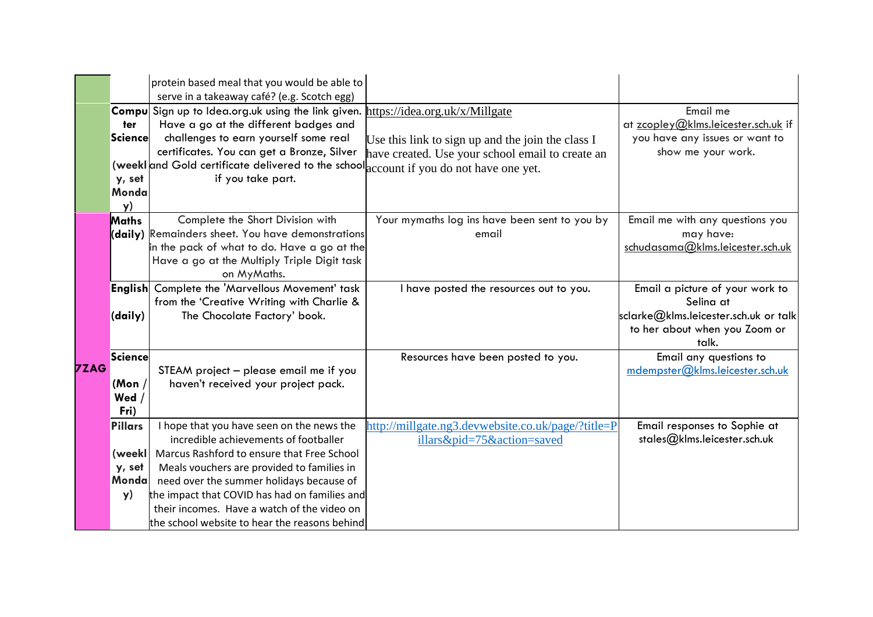|             |                                            | protein based meal that you would be able to<br>serve in a takeaway café? (e.g. Scotch egg)                                                                                                                                                                                                                                                                                 |                                                                                                       |                                                                                                                                 |
|-------------|--------------------------------------------|-----------------------------------------------------------------------------------------------------------------------------------------------------------------------------------------------------------------------------------------------------------------------------------------------------------------------------------------------------------------------------|-------------------------------------------------------------------------------------------------------|---------------------------------------------------------------------------------------------------------------------------------|
|             | ter<br>Science<br>y, set<br>Monda<br>y)    | Compu Sign up to Idea.org.uk using the link given. https://idea.org.uk/x/Millgate<br>Have a go at the different badges and<br>challenges to earn yourself some real<br>certificates. You can get a Bronze, Silver<br>(weekl and Gold certificate delivered to the school account if you do not have one yet.<br>if you take part.                                           | Use this link to sign up and the join the class I<br>have created. Use your school email to create an | Email me<br>at zcopley@klms.leicester.sch.uk if<br>you have any issues or want to<br>show me your work.                         |
|             | Maths                                      | Complete the Short Division with<br>(daily) Remainders sheet. You have demonstrations<br>in the pack of what to do. Have a go at the<br>Have a go at the Multiply Triple Digit task<br>on MyMaths.                                                                                                                                                                          | Your mymaths log ins have been sent to you by<br>email                                                | Email me with any questions you<br>may have:<br>schudasama@klms.leicester.sch.uk                                                |
|             | (daily)                                    | <b>English</b> Complete the 'Marvellous Movement' task<br>from the 'Creative Writing with Charlie &<br>The Chocolate Factory' book.                                                                                                                                                                                                                                         | I have posted the resources out to you.                                                               | Email a picture of your work to<br>Selina at<br>sclarke@klms.leicester.sch.uk or talk<br>to her about when you Zoom or<br>talk. |
| <b>7ZAG</b> | Science<br>(Mon)<br>Wed<br>Fri)            | STEAM project - please email me if you<br>haven't received your project pack.                                                                                                                                                                                                                                                                                               | Resources have been posted to you.                                                                    | Email any questions to<br>mdempster@klms.leicester.sch.uk                                                                       |
|             | Pillars<br>(weekl<br>y, set<br>Monda<br>y) | I hope that you have seen on the news the<br>incredible achievements of footballer<br>Marcus Rashford to ensure that Free School<br>Meals vouchers are provided to families in<br>need over the summer holidays because of<br>the impact that COVID has had on families and<br>their incomes. Have a watch of the video on<br>the school website to hear the reasons behind | http://millgate.ng3.devwebsite.co.uk/page/?title=P<br>illars&pid=75&action=saved                      | Email responses to Sophie at<br>stales@klms.leicester.sch.uk                                                                    |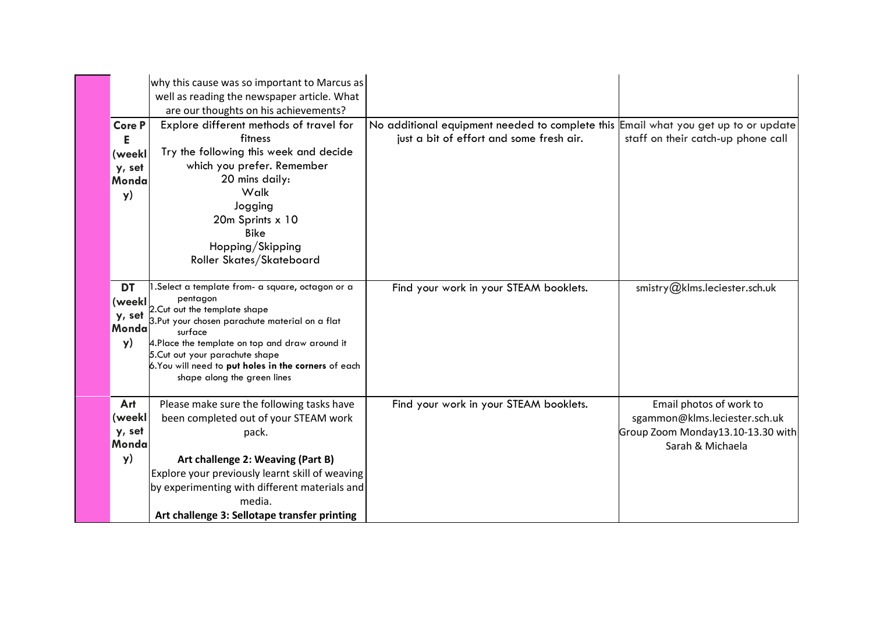|                                                | why this cause was so important to Marcus as<br>well as reading the newspaper article. What<br>are our thoughts on his achievements?                                                                                                                                                                                                  |                                                                                                                                |                                                                                                                   |
|------------------------------------------------|---------------------------------------------------------------------------------------------------------------------------------------------------------------------------------------------------------------------------------------------------------------------------------------------------------------------------------------|--------------------------------------------------------------------------------------------------------------------------------|-------------------------------------------------------------------------------------------------------------------|
| Core P<br>Е<br>(weekl<br>y, set<br>Monda<br>y) | Explore different methods of travel for<br>fitness<br>Try the following this week and decide<br>which you prefer. Remember<br>20 mins daily:<br>Walk<br>Jogging<br>20m Sprints x 10<br><b>Bike</b><br>Hopping/Skipping<br>Roller Skates/Skateboard                                                                                    | No additional equipment needed to complete this Email what you get up to or update<br>just a bit of effort and some fresh air. | staff on their catch-up phone call                                                                                |
| <b>DT</b><br>(weekl<br>y, set<br>Monda<br>y)   | Select a template from- a square, octagon or a<br>pentagon<br>2. Cut out the template shape<br>3.Put your chosen parachute material on a flat<br>surface<br>4. Place the template on top and draw around it<br>5. Cut out your parachute shape<br>6. You will need to put holes in the corners of each<br>shape along the green lines | Find your work in your STEAM booklets.                                                                                         | smistry@klms.leciester.sch.uk                                                                                     |
| Art<br>(weekl<br>y, set<br>Monda<br>y)         | Please make sure the following tasks have<br>been completed out of your STEAM work<br>pack.<br>Art challenge 2: Weaving (Part B)<br>Explore your previously learnt skill of weaving<br>by experimenting with different materials and<br>media.<br>Art challenge 3: Sellotape transfer printing                                        | Find your work in your STEAM booklets.                                                                                         | Email photos of work to<br>sgammon@klms.leciester.sch.uk<br>Group Zoom Monday13.10-13.30 with<br>Sarah & Michaela |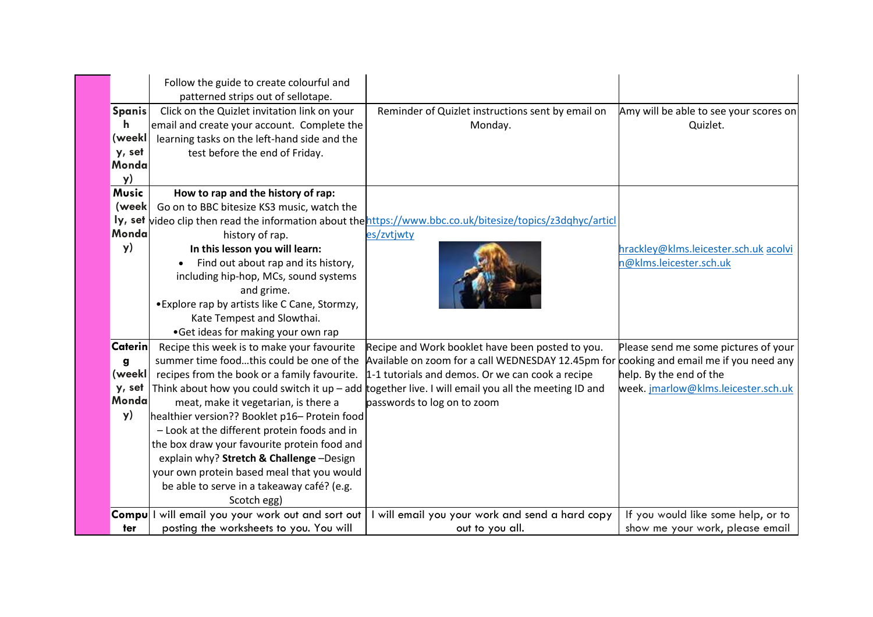|                                                        | Follow the guide to create colourful and<br>patterned strips out of sellotape.                                                                                                                                                                                                                                                                                                                                                                                                         |                                                                                                                                                                                                                                                                                                                                         |                                                                                                       |
|--------------------------------------------------------|----------------------------------------------------------------------------------------------------------------------------------------------------------------------------------------------------------------------------------------------------------------------------------------------------------------------------------------------------------------------------------------------------------------------------------------------------------------------------------------|-----------------------------------------------------------------------------------------------------------------------------------------------------------------------------------------------------------------------------------------------------------------------------------------------------------------------------------------|-------------------------------------------------------------------------------------------------------|
| <b>Spanis</b><br>h.<br>(weekl<br>y, set<br>Monda<br>y) | Click on the Quizlet invitation link on your<br>email and create your account. Complete the<br>learning tasks on the left-hand side and the<br>test before the end of Friday.                                                                                                                                                                                                                                                                                                          | Reminder of Quizlet instructions sent by email on<br>Monday.                                                                                                                                                                                                                                                                            | Amy will be able to see your scores on<br>Quizlet.                                                    |
| <b>Music</b><br>(week<br>Monda<br>y)                   | How to rap and the history of rap:<br>Go on to BBC bitesize KS3 music, watch the<br>history of rap.<br>In this lesson you will learn:<br>Find out about rap and its history,<br>including hip-hop, MCs, sound systems<br>and grime.<br>• Explore rap by artists like C Cane, Stormzy,<br>Kate Tempest and Slowthai.<br>•Get ideas for making your own rap                                                                                                                              | ly, set video clip then read the information about the https://www.bbc.co.uk/bitesize/topics/z3dqhyc/articl<br>es/zvtjwty                                                                                                                                                                                                               | hrackley@klms.leicester.sch.uk acolvi<br>n@klms.leicester.sch.uk                                      |
| <b>Caterin</b><br>g<br>(weekl<br>y, set<br>Monda<br>y) | Recipe this week is to make your favourite<br>summer time foodthis could be one of the<br>recipes from the book or a family favourite.<br>meat, make it vegetarian, is there a<br>healthier version?? Booklet p16- Protein food<br>- Look at the different protein foods and in<br>the box draw your favourite protein food and<br>explain why? Stretch & Challenge -Design<br>your own protein based meal that you would<br>be able to serve in a takeaway café? (e.g.<br>Scotch egg) | Recipe and Work booklet have been posted to you.<br>Available on zoom for a call WEDNESDAY 12.45pm for cooking and email me if you need any<br>1-1 tutorials and demos. Or we can cook a recipe<br>Think about how you could switch it up $-$ add together live. I will email you all the meeting ID and<br>passwords to log on to zoom | Please send me some pictures of your<br>help. By the end of the<br>week.jmarlow@klms.leicester.sch.uk |
| ter                                                    | Compu I will email you your work out and sort out<br>posting the worksheets to you. You will                                                                                                                                                                                                                                                                                                                                                                                           | I will email you your work and send a hard copy<br>out to you all.                                                                                                                                                                                                                                                                      | If you would like some help, or to<br>show me your work, please email                                 |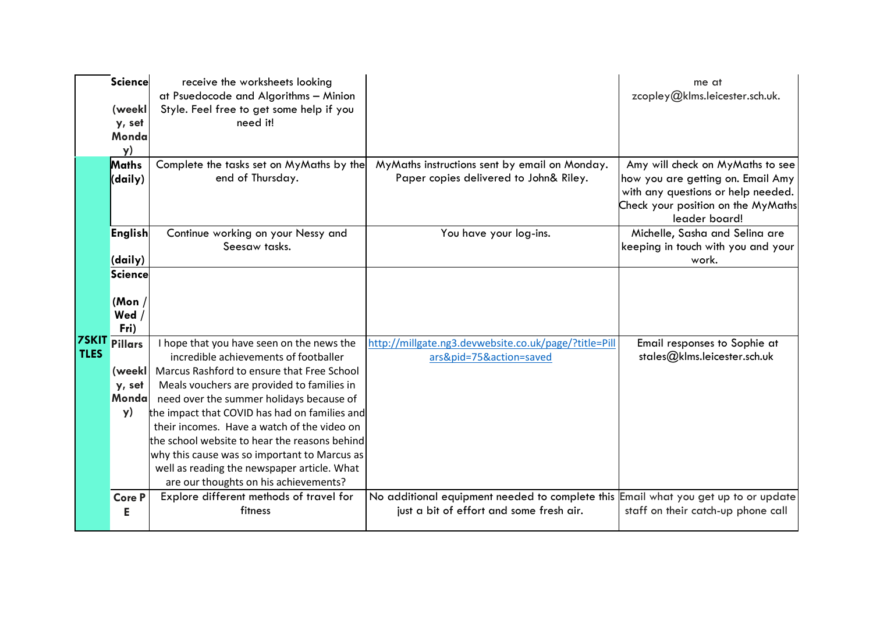|             | <b>Science</b><br>(weekl<br>y, set<br>Monda<br>y) | receive the worksheets looking<br>at Psuedocode and Algorithms - Minion<br>Style. Feel free to get some help if you<br>need it! |                                                                                                                                | me at<br>zcopley@klms.leicester.sch.uk.                                                                                                                            |
|-------------|---------------------------------------------------|---------------------------------------------------------------------------------------------------------------------------------|--------------------------------------------------------------------------------------------------------------------------------|--------------------------------------------------------------------------------------------------------------------------------------------------------------------|
|             | Maths<br>(daily)                                  | Complete the tasks set on MyMaths by the<br>end of Thursday.                                                                    | MyMaths instructions sent by email on Monday.<br>Paper copies delivered to John& Riley.                                        | Amy will check on MyMaths to see<br>how you are getting on. Email Amy<br>with any questions or help needed.<br>Check your position on the MyMaths<br>leader board! |
|             | <b>English</b><br>(daily)                         | Continue working on your Nessy and<br>Seesaw tasks.                                                                             | You have your log-ins.                                                                                                         | Michelle, Sasha and Selina are<br>keeping in touch with you and your<br>work.                                                                                      |
|             | Science<br>(Mon $/$<br>Wed $/$<br>Fri)            |                                                                                                                                 |                                                                                                                                |                                                                                                                                                                    |
| <b>TLES</b> | <b>7SKIT Pillars</b>                              | I hope that you have seen on the news the<br>incredible achievements of footballer                                              | http://millgate.ng3.devwebsite.co.uk/page/?title=Pill<br>ars&pid=75&action=saved                                               | Email responses to Sophie at<br>stales@klms.leicester.sch.uk                                                                                                       |
|             | (weekl                                            | Marcus Rashford to ensure that Free School                                                                                      |                                                                                                                                |                                                                                                                                                                    |
|             | y, set                                            | Meals vouchers are provided to families in                                                                                      |                                                                                                                                |                                                                                                                                                                    |
|             | Monda                                             | need over the summer holidays because of                                                                                        |                                                                                                                                |                                                                                                                                                                    |
|             | y)                                                | the impact that COVID has had on families and                                                                                   |                                                                                                                                |                                                                                                                                                                    |
|             |                                                   | their incomes. Have a watch of the video on                                                                                     |                                                                                                                                |                                                                                                                                                                    |
|             |                                                   | the school website to hear the reasons behind                                                                                   |                                                                                                                                |                                                                                                                                                                    |
|             |                                                   | why this cause was so important to Marcus as<br>well as reading the newspaper article. What                                     |                                                                                                                                |                                                                                                                                                                    |
|             |                                                   | are our thoughts on his achievements?                                                                                           |                                                                                                                                |                                                                                                                                                                    |
|             | <b>Core P</b><br>Е                                | Explore different methods of travel for<br>fitness                                                                              | No additional equipment needed to complete this Email what you get up to or update<br>just a bit of effort and some fresh air. | staff on their catch-up phone call                                                                                                                                 |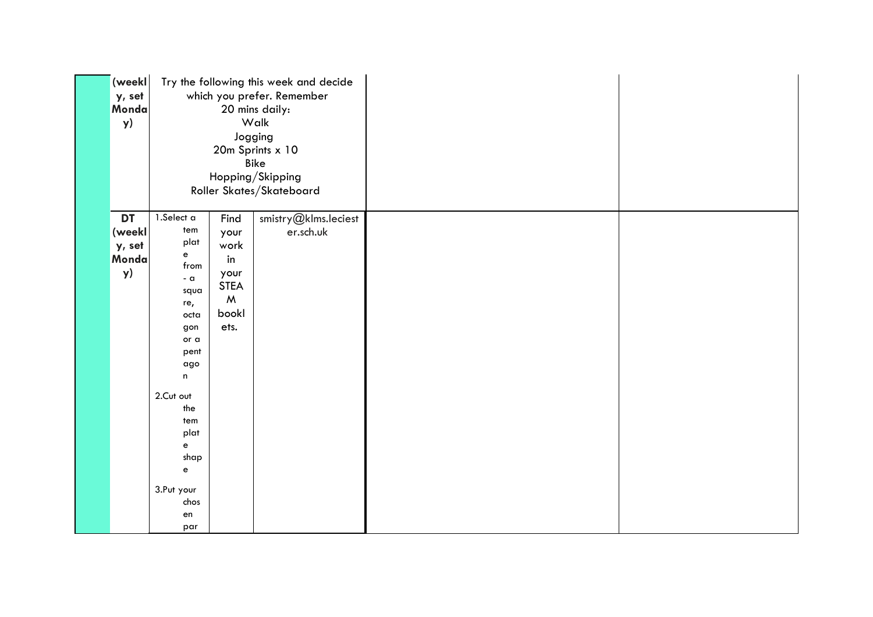| (weekl<br>y, set<br>Monda<br>y)       | Try the following this week and decide<br>which you prefer. Remember<br>20 mins daily:<br>Walk<br>Jogging<br>20m Sprints x 10<br><b>Bike</b><br>Hopping/Skipping<br>Roller Skates/Skateboard                                                                        |                                                                                                 |                                   |  |
|---------------------------------------|---------------------------------------------------------------------------------------------------------------------------------------------------------------------------------------------------------------------------------------------------------------------|-------------------------------------------------------------------------------------------------|-----------------------------------|--|
| DT<br>(weekl<br>y, set<br>Monda<br>y) | 1.Select a<br>tem<br>plat<br>$\mathbf{e}$<br>from<br>$-a$<br>squa<br>re,<br>octa<br>gon<br>or a<br>pent<br>ago<br>$\mathsf{n}$<br>2.Cut out<br>the<br>tem<br>plat<br>$\mathsf{e}% _{t}\left( \mathsf{e}\right)$<br>shap<br>$\mathbf{e}$<br>3.Put your<br>chos<br>en | Find<br>your<br>work<br>in<br>your<br><b>STEA</b><br>$\boldsymbol{\mathsf{M}}$<br>bookl<br>ets. | smistry@klms.leciest<br>er.sch.uk |  |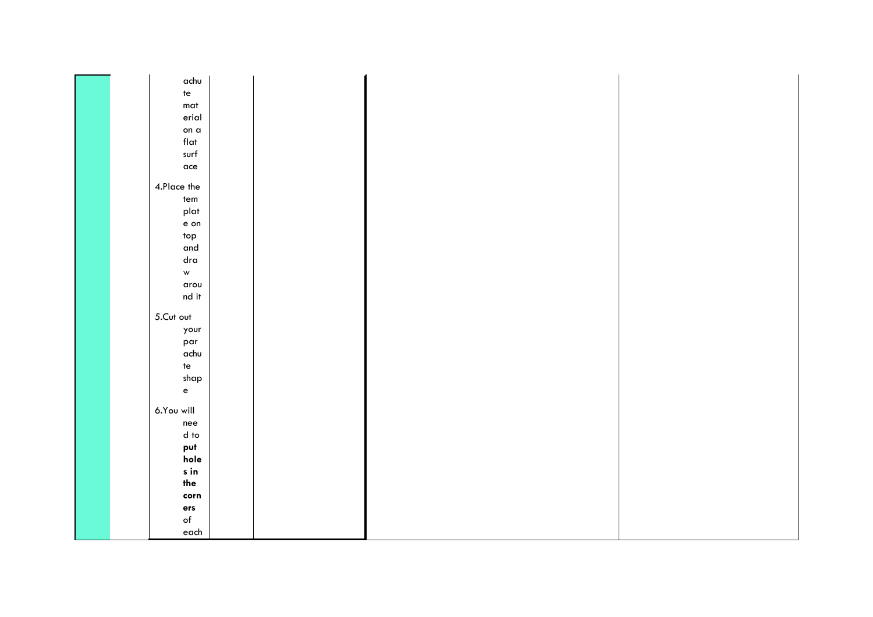|  | achu          |  |  |  |
|--|---------------|--|--|--|
|  | te            |  |  |  |
|  | mat           |  |  |  |
|  | erial         |  |  |  |
|  | on a          |  |  |  |
|  | flat          |  |  |  |
|  | surf          |  |  |  |
|  | ace           |  |  |  |
|  |               |  |  |  |
|  | 4.Place the   |  |  |  |
|  | tem           |  |  |  |
|  | plat          |  |  |  |
|  | $e$ on        |  |  |  |
|  | top           |  |  |  |
|  | and           |  |  |  |
|  | $_{\sf dra}$  |  |  |  |
|  | $\mathsf{w}$  |  |  |  |
|  | arou          |  |  |  |
|  | nd it         |  |  |  |
|  | 5.Cut out     |  |  |  |
|  | your          |  |  |  |
|  | par           |  |  |  |
|  | achu          |  |  |  |
|  | te            |  |  |  |
|  | shap          |  |  |  |
|  | $\mathbf{e}$  |  |  |  |
|  |               |  |  |  |
|  | 6.You will    |  |  |  |
|  | nee           |  |  |  |
|  | $d$ to        |  |  |  |
|  | put           |  |  |  |
|  | hole          |  |  |  |
|  | s in          |  |  |  |
|  | the           |  |  |  |
|  | $_{\rm corr}$ |  |  |  |
|  | ers           |  |  |  |
|  | $\circ f$     |  |  |  |
|  | each          |  |  |  |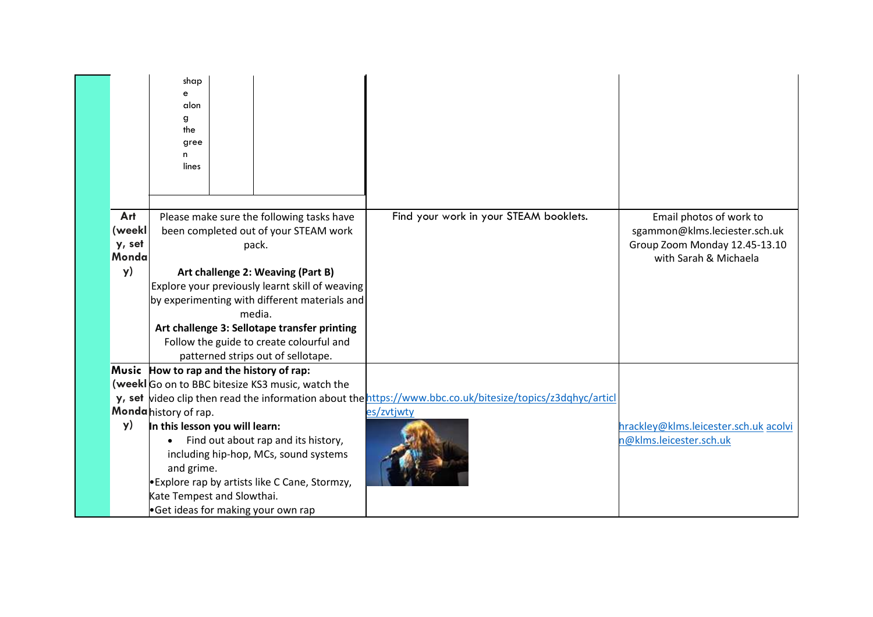|                                  | shap<br>e<br>alon<br>g<br>the<br>gree<br>n<br>lines                                                                                                                                                                                                                                                                                                                             |                                                                                                                          |                                                                                                                    |
|----------------------------------|---------------------------------------------------------------------------------------------------------------------------------------------------------------------------------------------------------------------------------------------------------------------------------------------------------------------------------------------------------------------------------|--------------------------------------------------------------------------------------------------------------------------|--------------------------------------------------------------------------------------------------------------------|
| Art<br>(weekl<br>y, set<br>Monda | Please make sure the following tasks have<br>been completed out of your STEAM work<br>pack.                                                                                                                                                                                                                                                                                     | Find your work in your STEAM booklets.                                                                                   | Email photos of work to<br>sgammon@klms.leciester.sch.uk<br>Group Zoom Monday 12.45-13.10<br>with Sarah & Michaela |
| y)                               | Art challenge 2: Weaving (Part B)<br>Explore your previously learnt skill of weaving<br>by experimenting with different materials and<br>media.<br>Art challenge 3: Sellotape transfer printing<br>Follow the guide to create colourful and<br>patterned strips out of sellotape.                                                                                               |                                                                                                                          |                                                                                                                    |
| y)                               | Music How to rap and the history of rap:<br>(week Go on to BBC bitesize KS3 music, watch the<br>Monda history of rap.<br>In this lesson you will learn:<br>Find out about rap and its history,<br>including hip-hop, MCs, sound systems<br>and grime.<br><b>Explore rap by artists like C Cane, Stormzy,</b><br>Kate Tempest and Slowthai.<br>Get ideas for making your own rap | y, set video clip then read the information about the https://www.bbc.co.uk/bitesize/topics/z3dqhyc/articl<br>es/zvtjwty | hrackley@klms.leicester.sch.uk acolvi<br>n@klms.leicester.sch.uk                                                   |